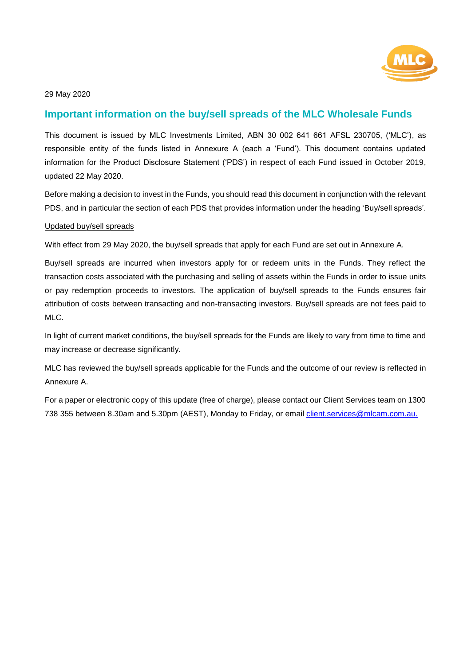

# **Important information on the buy/sell spreads of the MLC Wholesale Funds**

This document is issued by MLC Investments Limited, ABN 30 002 641 661 AFSL 230705, ('MLC'), as responsible entity of the funds listed in Annexure A (each a 'Fund'). This document contains updated information for the Product Disclosure Statement ('PDS') in respect of each Fund issued in October 2019, updated 22 May 2020.

Before making a decision to invest in the Funds, you should read this document in conjunction with the relevant PDS, and in particular the section of each PDS that provides information under the heading 'Buy/sell spreads'.

#### Updated buy/sell spreads

With effect from 29 May 2020, the buy/sell spreads that apply for each Fund are set out in Annexure A.

Buy/sell spreads are incurred when investors apply for or redeem units in the Funds. They reflect the transaction costs associated with the purchasing and selling of assets within the Funds in order to issue units or pay redemption proceeds to investors. The application of buy/sell spreads to the Funds ensures fair attribution of costs between transacting and non-transacting investors. Buy/sell spreads are not fees paid to MLC.

In light of current market conditions, the buy/sell spreads for the Funds are likely to vary from time to time and may increase or decrease significantly.

MLC has reviewed the buy/sell spreads applicable for the Funds and the outcome of our review is reflected in Annexure A.

For a paper or electronic copy of this update (free of charge), please contact our Client Services team on 1300 738 355 between 8.30am and 5.30pm (AEST), Monday to Friday, or email client.services@mlcam.com.au.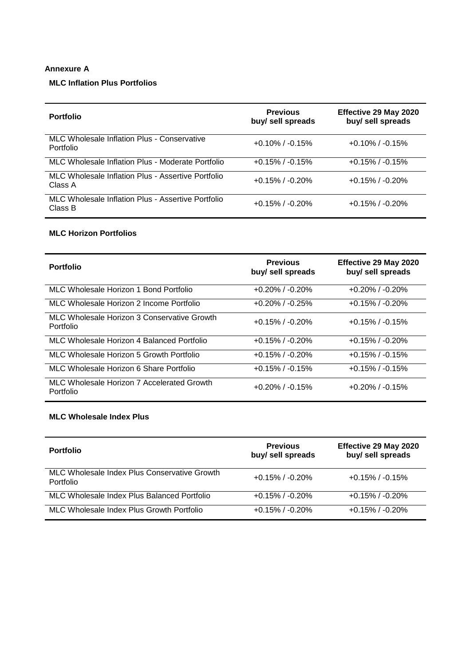## **Annexure A**

# **MLC Inflation Plus Portfolios**

| <b>Portfolio</b>                                              | <b>Previous</b><br>buy/ sell spreads | Effective 29 May 2020<br>buy/ sell spreads |
|---------------------------------------------------------------|--------------------------------------|--------------------------------------------|
| MLC Wholesale Inflation Plus - Conservative<br>Portfolio      | $+0.10\%$ / $-0.15\%$                | $+0.10\%$ / $-0.15\%$                      |
| MLC Wholesale Inflation Plus - Moderate Portfolio             | $+0.15\%$ / $-0.15\%$                | $+0.15\%$ / $-0.15\%$                      |
| MLC Wholesale Inflation Plus - Assertive Portfolio<br>Class A | $+0.15\%$ / $-0.20\%$                | $+0.15\%$ / $-0.20\%$                      |
| MLC Wholesale Inflation Plus - Assertive Portfolio<br>Class B | $+0.15\%$ / $-0.20\%$                | $+0.15\%$ / $-0.20\%$                      |

### **MLC Horizon Portfolios**

| <b>Portfolio</b>                                         | <b>Previous</b><br>buy/ sell spreads | Effective 29 May 2020<br>buy/ sell spreads |
|----------------------------------------------------------|--------------------------------------|--------------------------------------------|
| MLC Wholesale Horizon 1 Bond Portfolio                   | $+0.20\%$ / $-0.20\%$                | $+0.20\%$ / $-0.20\%$                      |
| MLC Wholesale Horizon 2 Income Portfolio                 | $+0.20\%$ / $-0.25\%$                | $+0.15\%$ / $-0.20\%$                      |
| MLC Wholesale Horizon 3 Conservative Growth<br>Portfolio | $+0.15\%$ / -0.20%                   | $+0.15\%$ / $-0.15\%$                      |
| MLC Wholesale Horizon 4 Balanced Portfolio               | $+0.15\%$ / $-0.20\%$                | $+0.15\%$ / $-0.20\%$                      |
| MLC Wholesale Horizon 5 Growth Portfolio                 | $+0.15\%$ / $-0.20\%$                | $+0.15\%$ / $-0.15\%$                      |
| MLC Wholesale Horizon 6 Share Portfolio                  | $+0.15\%$ / $-0.15\%$                | $+0.15\%$ / $-0.15\%$                      |
| MLC Wholesale Horizon 7 Accelerated Growth<br>Portfolio  | $+0.20\%$ / $-0.15\%$                | $+0.20\%$ / $-0.15\%$                      |

## **MLC Wholesale Index Plus**

| <b>Portfolio</b>                                          | <b>Previous</b><br>buy/ sell spreads | Effective 29 May 2020<br>buy/ sell spreads |
|-----------------------------------------------------------|--------------------------------------|--------------------------------------------|
| MLC Wholesale Index Plus Conservative Growth<br>Portfolio | $+0.15\%$ / $-0.20\%$                | $+0.15\%$ / $-0.15\%$                      |
| MLC Wholesale Index Plus Balanced Portfolio               | $+0.15\%$ / $-0.20\%$                | $+0.15\%$ / $-0.20\%$                      |
| MLC Wholesale Index Plus Growth Portfolio                 | $+0.15\%$ / $-0.20\%$                | $+0.15\%$ / $-0.20\%$                      |